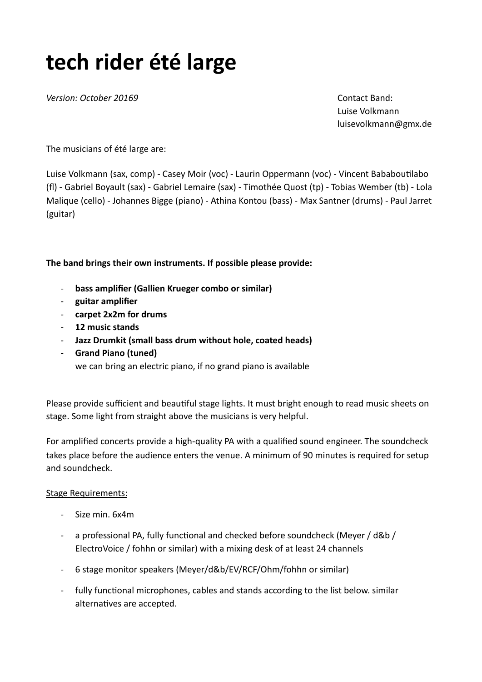# **tech rider été large**

**Version:** October 20169 *Version:* Contact Band:

Luise Volkmann luisevolkmann@gmx.de

The musicians of été large are:

Luise Volkmann (sax, comp) - Casey Moir (voc) - Laurin Oppermann (voc) - Vincent Bababoutilabo (fl) - Gabriel Boyault (sax) - Gabriel Lemaire (sax) - Timothée Quost (tp) - Tobias Wember (tb) - Lola Malique (cello) - Johannes Bigge (piano) - Athina Kontou (bass) - Max Santner (drums) - Paul Jarret (guitar)

#### The band brings their own instruments. If possible please provide:

- bass amplifier (Gallien Krueger combo or similar)
- guitar amplifier
- carpet 2x2m for drums
- 12 music stands
- Jazz Drumkit (small bass drum without hole, coated heads)
- **Grand Piano (tuned)** we can bring an electric piano, if no grand piano is available

Please provide sufficient and beautiful stage lights. It must bright enough to read music sheets on stage. Some light from straight above the musicians is very helpful.

For amplified concerts provide a high-quality PA with a qualified sound engineer. The soundcheck takes place before the audience enters the venue. A minimum of 90 minutes is required for setup and soundcheck.

#### **Stage Requirements:**

- Size min. 6x4m
- a professional PA, fully functional and checked before soundcheck (Meyer / d&b / ElectroVoice / fohhn or similar) with a mixing desk of at least 24 channels
- 6 stage monitor speakers (Meyer/d&b/EV/RCF/Ohm/fohhn or similar)
- fully functional microphones, cables and stands according to the list below. similar alternatives are accepted.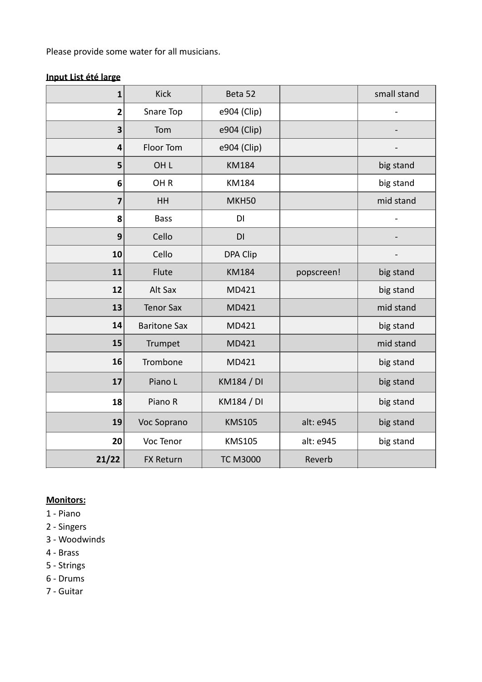Please provide some water for all musicians.

## **Input List été large**

| $\mathbf{1}$ | <b>Kick</b>         | Beta 52           |            | small stand                  |
|--------------|---------------------|-------------------|------------|------------------------------|
| $\mathbf{2}$ | Snare Top           | e904 (Clip)       |            |                              |
| 3            | Tom                 | e904 (Clip)       |            |                              |
| 4            | Floor Tom           | e904 (Clip)       |            | $\qquad \qquad \blacksquare$ |
| 5            | OH <sub>L</sub>     | <b>KM184</b>      |            | big stand                    |
| 6            | OH <sub>R</sub>     | <b>KM184</b>      |            | big stand                    |
| 7            | HH                  | MKH50             |            | mid stand                    |
| 8            | <b>Bass</b>         | DI                |            | $\overline{\phantom{0}}$     |
| 9            | Cello               | DI                |            |                              |
| 10           | Cello               | <b>DPA Clip</b>   |            |                              |
| 11           | Flute               | <b>KM184</b>      | popscreen! | big stand                    |
| 12           | Alt Sax             | MD421             |            | big stand                    |
| 13           | <b>Tenor Sax</b>    | MD421             |            | mid stand                    |
| 14           | <b>Baritone Sax</b> | MD421             |            | big stand                    |
| 15           | Trumpet             | MD421             |            | mid stand                    |
| 16           | Trombone            | MD421             |            | big stand                    |
| 17           | Piano L             | <b>KM184 / DI</b> |            | big stand                    |
| 18           | Piano R             | KM184 / DI        |            | big stand                    |
| 19           | Voc Soprano         | <b>KMS105</b>     | alt: e945  | big stand                    |
| 20           | Voc Tenor           | <b>KMS105</b>     | alt: e945  | big stand                    |
| 21/22        | <b>FX Return</b>    | <b>TC M3000</b>   | Reverb     |                              |

### **Monitors:**

- 1 - Piano
- 2 Singers
- 3 - Woodwinds
- 4 Brass
- 5 Strings
- 6 - Drums
- 7 Guitar